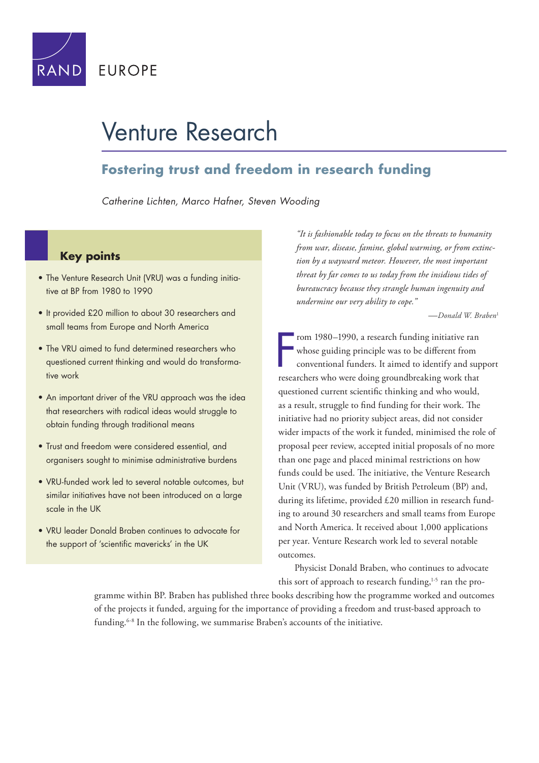

# Venture Research

### **Fostering trust and freedom in research funding**

*Catherine Lichten, Marco Hafner, Steven Wooding*

### **Key points**

- The Venture Research Unit (VRU) was a funding initiative at BP from 1980 to 1990
- It provided £20 million to about 30 researchers and small teams from Europe and North America
- The VRU aimed to fund determined researchers who questioned current thinking and would do transformative work
- An important driver of the VRU approach was the idea that researchers with radical ideas would struggle to obtain funding through traditional means
- Trust and freedom were considered essential, and organisers sought to minimise administrative burdens
- VRU-funded work led to several notable outcomes, but similar initiatives have not been introduced on a large scale in the UK
- VRU leader Donald Braben continues to advocate for the support of 'scientific mavericks' in the UK

*"It is fashionable today to focus on the threats to humanity from war, disease, famine, global warming, or from extinction by a wayward meteor. However, the most important threat by far comes to us today from the insidious tides of bureaucracy because they strangle human ingenuity and undermine our very ability to cope."*

*—Donald W. Braben*<sup>1</sup>

F rom 1980–1990, a research funding initiative ran whose guiding principle was to be different from conventional funders. It aimed to identify and support researchers who were doing groundbreaking work that questioned current scientific thinking and who would, as a result, struggle to find funding for their work. The initiative had no priority subject areas, did not consider wider impacts of the work it funded, minimised the role of proposal peer review, accepted initial proposals of no more than one page and placed minimal restrictions on how funds could be used. The initiative, the Venture Research Unit (VRU), was funded by British Petroleum (BP) and, during its lifetime, provided £20 million in research funding to around 30 researchers and small teams from Europe and North America. It received about 1,000 applications per year. Venture Research work led to several notable outcomes.

Physicist Donald Braben, who continues to advocate this sort of approach to research funding,<sup>1-5</sup> ran the pro-

gramme within BP. Braben has published three books describing how the programme worked and outcomes of the projects it funded, arguing for the importance of providing a freedom and trust-based approach to funding.6-8 In the following, we summarise Braben's accounts of the initiative.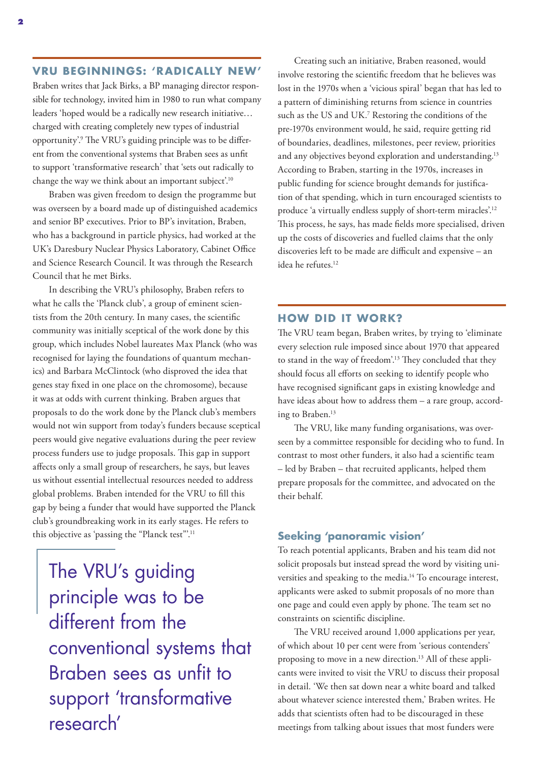#### **VRU BEGINNINGS: 'RADICALLY NEW'**

Braben writes that Jack Birks, a BP managing director responsible for technology, invited him in 1980 to run what company leaders 'hoped would be a radically new research initiative… charged with creating completely new types of industrial opportunity'.9 The VRU's guiding principle was to be different from the conventional systems that Braben sees as unfit to support 'transformative research' that 'sets out radically to change the way we think about an important subject.<sup>10</sup>

Braben was given freedom to design the programme but was overseen by a board made up of distinguished academics and senior BP executives. Prior to BP's invitation, Braben, who has a background in particle physics, had worked at the UK's Daresbury Nuclear Physics Laboratory, Cabinet Office and Science Research Council. It was through the Research Council that he met Birks.

In describing the VRU's philosophy, Braben refers to what he calls the 'Planck club', a group of eminent scientists from the 20th century. In many cases, the scientific community was initially sceptical of the work done by this group, which includes Nobel laureates Max Planck (who was recognised for laying the foundations of quantum mechanics) and Barbara McClintock (who disproved the idea that genes stay fixed in one place on the chromosome), because it was at odds with current thinking. Braben argues that proposals to do the work done by the Planck club's members would not win support from today's funders because sceptical peers would give negative evaluations during the peer review process funders use to judge proposals. This gap in support affects only a small group of researchers, he says, but leaves us without essential intellectual resources needed to address global problems. Braben intended for the VRU to fill this gap by being a funder that would have supported the Planck club's groundbreaking work in its early stages. He refers to this objective as 'passing the "Planck test".<sup>11</sup>

The VRU's guiding principle was to be different from the conventional systems that Braben sees as unfit to support 'transformative research'

Creating such an initiative, Braben reasoned, would involve restoring the scientific freedom that he believes was lost in the 1970s when a 'vicious spiral' began that has led to a pattern of diminishing returns from science in countries such as the US and UK.7 Restoring the conditions of the pre-1970s environment would, he said, require getting rid of boundaries, deadlines, milestones, peer review, priorities and any objectives beyond exploration and understanding.<sup>13</sup> According to Braben, starting in the 1970s, increases in public funding for science brought demands for justification of that spending, which in turn encouraged scientists to produce 'a virtually endless supply of short-term miracles'.12 This process, he says, has made fields more specialised, driven up the costs of discoveries and fuelled claims that the only discoveries left to be made are difficult and expensive – an idea he refutes.<sup>12</sup>

#### **HOW DID IT WORK?**

The VRU team began, Braben writes, by trying to 'eliminate every selection rule imposed since about 1970 that appeared to stand in the way of freedom'.13 They concluded that they should focus all efforts on seeking to identify people who have recognised significant gaps in existing knowledge and have ideas about how to address them – a rare group, according to Braben.<sup>13</sup>

The VRU, like many funding organisations, was overseen by a committee responsible for deciding who to fund. In contrast to most other funders, it also had a scientific team – led by Braben – that recruited applicants, helped them prepare proposals for the committee, and advocated on the their behalf.

#### **Seeking 'panoramic vision'**

To reach potential applicants, Braben and his team did not solicit proposals but instead spread the word by visiting universities and speaking to the media.14 To encourage interest, applicants were asked to submit proposals of no more than one page and could even apply by phone. The team set no constraints on scientific discipline.

The VRU received around 1,000 applications per year, of which about 10 per cent were from 'serious contenders' proposing to move in a new direction.<sup>13</sup> All of these applicants were invited to visit the VRU to discuss their proposal in detail. 'We then sat down near a white board and talked about whatever science interested them,' Braben writes. He adds that scientists often had to be discouraged in these meetings from talking about issues that most funders were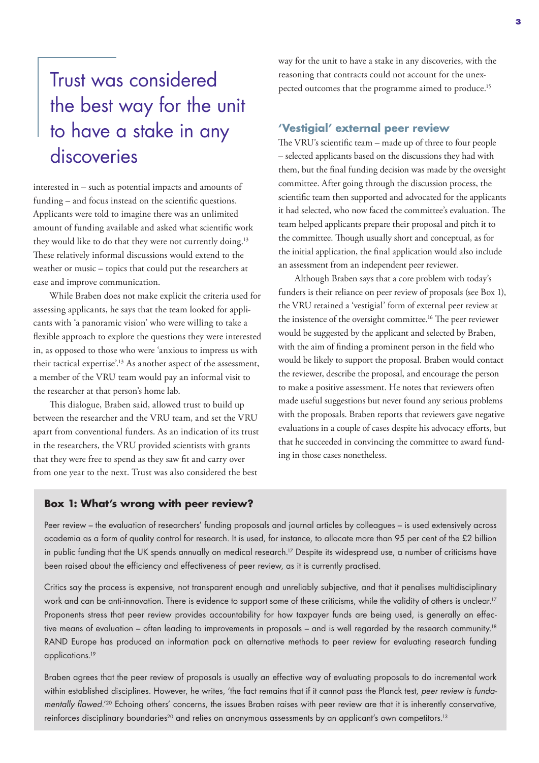# Trust was considered the best way for the unit to have a stake in any discoveries

interested in – such as potential impacts and amounts of funding – and focus instead on the scientific questions. Applicants were told to imagine there was an unlimited amount of funding available and asked what scientific work they would like to do that they were not currently doing.<sup>13</sup> These relatively informal discussions would extend to the weather or music – topics that could put the researchers at ease and improve communication.

While Braben does not make explicit the criteria used for assessing applicants, he says that the team looked for applicants with 'a panoramic vision' who were willing to take a flexible approach to explore the questions they were interested in, as opposed to those who were 'anxious to impress us with their tactical expertise'.13 As another aspect of the assessment, a member of the VRU team would pay an informal visit to the researcher at that person's home lab.

This dialogue, Braben said, allowed trust to build up between the researcher and the VRU team, and set the VRU apart from conventional funders. As an indication of its trust in the researchers, the VRU provided scientists with grants that they were free to spend as they saw fit and carry over from one year to the next. Trust was also considered the best

way for the unit to have a stake in any discoveries, with the reasoning that contracts could not account for the unexpected outcomes that the programme aimed to produce.<sup>15</sup>

#### **'Vestigial' external peer review**

The VRU's scientific team – made up of three to four people – selected applicants based on the discussions they had with them, but the final funding decision was made by the oversight committee. After going through the discussion process, the scientific team then supported and advocated for the applicants it had selected, who now faced the committee's evaluation. The team helped applicants prepare their proposal and pitch it to the committee. Though usually short and conceptual, as for the initial application, the final application would also include an assessment from an independent peer reviewer.

Although Braben says that a core problem with today's funders is their reliance on peer review of proposals (see Box 1), the VRU retained a 'vestigial' form of external peer review at the insistence of the oversight committee.<sup>16</sup> The peer reviewer would be suggested by the applicant and selected by Braben, with the aim of finding a prominent person in the field who would be likely to support the proposal. Braben would contact the reviewer, describe the proposal, and encourage the person to make a positive assessment. He notes that reviewers often made useful suggestions but never found any serious problems with the proposals. Braben reports that reviewers gave negative evaluations in a couple of cases despite his advocacy efforts, but that he succeeded in convincing the committee to award funding in those cases nonetheless.

#### **Box 1: What's wrong with peer review?**

Peer review – the evaluation of researchers' funding proposals and journal articles by colleagues – is used extensively across academia as a form of quality control for research. It is used, for instance, to allocate more than 95 per cent of the £2 billion in public funding that the UK spends annually on medical research.<sup>17</sup> Despite its widespread use, a number of criticisms have been raised about the efficiency and effectiveness of peer review, as it is currently practised.

Critics say the process is expensive, not transparent enough and unreliably subjective, and that it penalises multidisciplinary work and can be anti-innovation. There is evidence to support some of these criticisms, while the validity of others is unclear.<sup>17</sup> Proponents stress that peer review provides accountability for how taxpayer funds are being used, is generally an effective means of evaluation – often leading to improvements in proposals – and is well regarded by the research community.18 RAND Europe has produced an information pack on alternative methods to peer review for evaluating research funding applications.19

Braben agrees that the peer review of proposals is usually an effective way of evaluating proposals to do incremental work within established disciplines. However, he writes, 'the fact remains that if it cannot pass the Planck test, *peer review is fundamentally flawed*.'20 Echoing others' concerns, the issues Braben raises with peer review are that it is inherently conservative, reinforces disciplinary boundaries<sup>20</sup> and relies on anonymous assessments by an applicant's own competitors.<sup>13</sup>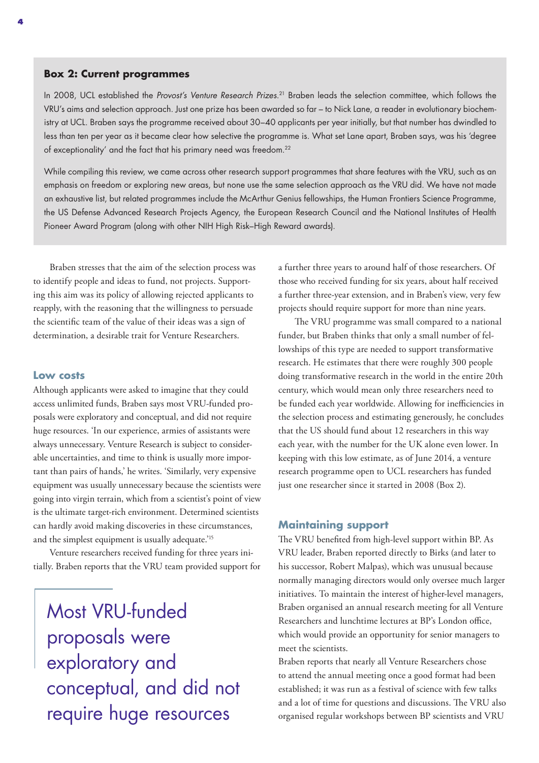#### **Box 2: Current programmes**

In 2008, UCL established the *Provost's Venture Research Prizes*. 21 Braben leads the selection committee, which follows the VRU's aims and selection approach. Just one prize has been awarded so far – to Nick Lane, a reader in evolutionary biochemistry at UCL. Braben says the programme received about 30–40 applicants per year initially, but that number has dwindled to less than ten per year as it became clear how selective the programme is. What set Lane apart, Braben says, was his 'degree of exceptionality' and the fact that his primary need was freedom.<sup>22</sup>

While compiling this review, we came across other research support programmes that share features with the VRU, such as an emphasis on freedom or exploring new areas, but none use the same selection approach as the VRU did. We have not made an exhaustive list, but related programmes include the McArthur Genius fellowships, the Human Frontiers Science Programme, the US Defense Advanced Research Projects Agency, the European Research Council and the National Institutes of Health Pioneer Award Program (along with other NIH High Risk–High Reward awards).

Braben stresses that the aim of the selection process was to identify people and ideas to fund, not projects. Supporting this aim was its policy of allowing rejected applicants to reapply, with the reasoning that the willingness to persuade the scientific team of the value of their ideas was a sign of determination, a desirable trait for Venture Researchers.

#### **Low costs**

Although applicants were asked to imagine that they could access unlimited funds, Braben says most VRU-funded proposals were exploratory and conceptual, and did not require huge resources. 'In our experience, armies of assistants were always unnecessary. Venture Research is subject to considerable uncertainties, and time to think is usually more important than pairs of hands,' he writes. 'Similarly, very expensive equipment was usually unnecessary because the scientists were going into virgin terrain, which from a scientist's point of view is the ultimate target-rich environment. Determined scientists can hardly avoid making discoveries in these circumstances, and the simplest equipment is usually adequate.'<sup>15</sup>

Venture researchers received funding for three years initially. Braben reports that the VRU team provided support for

Most VRU-funded proposals were exploratory and conceptual, and did not require huge resources

a further three years to around half of those researchers. Of those who received funding for six years, about half received a further three-year extension, and in Braben's view, very few projects should require support for more than nine years.

The VRU programme was small compared to a national funder, but Braben thinks that only a small number of fellowships of this type are needed to support transformative research. He estimates that there were roughly 300 people doing transformative research in the world in the entire 20th century, which would mean only three researchers need to be funded each year worldwide. Allowing for inefficiencies in the selection process and estimating generously, he concludes that the US should fund about 12 researchers in this way each year, with the number for the UK alone even lower. In keeping with this low estimate, as of June 2014, a venture research programme open to UCL researchers has funded just one researcher since it started in 2008 (Box 2).

#### **Maintaining support**

The VRU benefited from high-level support within BP. As VRU leader, Braben reported directly to Birks (and later to his successor, Robert Malpas), which was unusual because normally managing directors would only oversee much larger initiatives. To maintain the interest of higher-level managers, Braben organised an annual research meeting for all Venture Researchers and lunchtime lectures at BP's London office, which would provide an opportunity for senior managers to meet the scientists.

Braben reports that nearly all Venture Researchers chose to attend the annual meeting once a good format had been established; it was run as a festival of science with few talks and a lot of time for questions and discussions. The VRU also organised regular workshops between BP scientists and VRU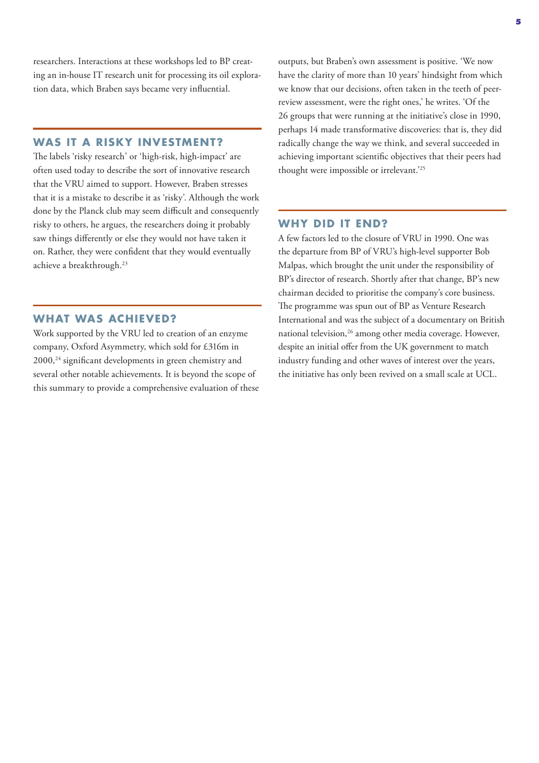researchers. Interactions at these workshops led to BP creating an in-house IT research unit for processing its oil exploration data, which Braben says became very influential.

#### **WAS IT A RISKY INVESTMENT?**

The labels 'risky research' or 'high-risk, high-impact' are often used today to describe the sort of innovative research that the VRU aimed to support. However, Braben stresses that it is a mistake to describe it as 'risky'. Although the work done by the Planck club may seem difficult and consequently risky to others, he argues, the researchers doing it probably saw things differently or else they would not have taken it on. Rather, they were confident that they would eventually achieve a breakthrough.23

#### **WHAT WAS ACHIEVED?**

Work supported by the VRU led to creation of an enzyme company, Oxford Asymmetry, which sold for £316m in 2000,24 significant developments in green chemistry and several other notable achievements. It is beyond the scope of this summary to provide a comprehensive evaluation of these outputs, but Braben's own assessment is positive. 'We now have the clarity of more than 10 years' hindsight from which we know that our decisions, often taken in the teeth of peerreview assessment, were the right ones,' he writes. 'Of the 26 groups that were running at the initiative's close in 1990, perhaps 14 made transformative discoveries: that is, they did radically change the way we think, and several succeeded in achieving important scientific objectives that their peers had thought were impossible or irrelevant.'25

#### **WHY DID IT END?**

A few factors led to the closure of VRU in 1990. One was the departure from BP of VRU's high-level supporter Bob Malpas, which brought the unit under the responsibility of BP's director of research. Shortly after that change, BP's new chairman decided to prioritise the company's core business. The programme was spun out of BP as Venture Research International and was the subject of a documentary on British national television,<sup>26</sup> among other media coverage. However, despite an initial offer from the UK government to match industry funding and other waves of interest over the years, the initiative has only been revived on a small scale at UCL.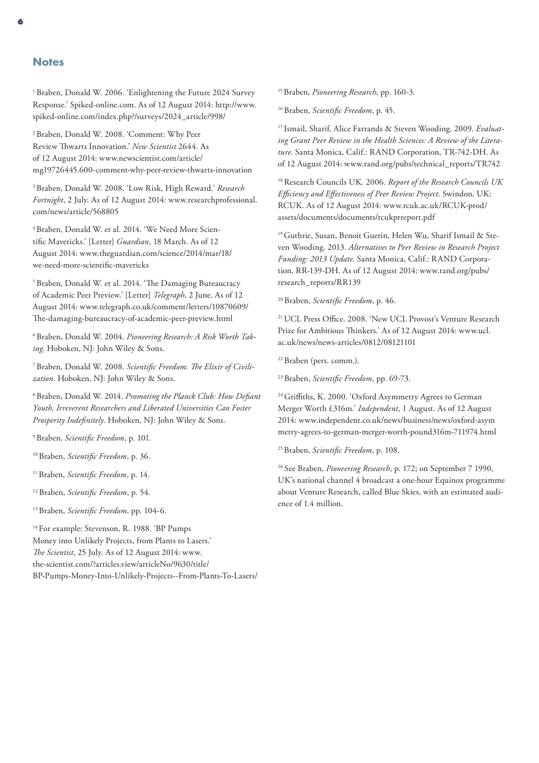#### **Notes**

1 Braben, Donald W. 2006. 'Enlightening the Future 2024 Survey Response.' Spiked-online.com. As of 12 August 2014: [http://www.](http://www.spiked-online.com/index.php?/surveys/2024_article/998/) [spiked-online.com/index.php?/surveys/2024\\_article/998/](http://www.spiked-online.com/index.php?/surveys/2024_article/998/)

2 Braben, Donald W. 2008. 'Comment: Why Peer Review Thwarts Innovation.' *New Scientist* 2644. As of 12 August 2014: [www.newscientist.com/article/](http://www.newscientist.com/article/mg19726445.600-comment-why-peer-review-thwarts-innovation) [mg19726445.600-comment-why-peer-review-thwarts-innovation](http://www.newscientist.com/article/mg19726445.600-comment-why-peer-review-thwarts-innovation)

3 Braben, Donald W. 2008. 'Low Risk, High Reward.' *Research Fortnight*, 2 July. As of 12 August 2014: [www.researchprofessional.](http://www.researchprofessional.com/news/article/568805) [com/news/article/568805](http://www.researchprofessional.com/news/article/568805)

4 Braben, Donald W. et al. 2014. 'We Need More Scientific Mavericks.' [Letter] *Guardian*, 18 March. As of 12 August 2014: [www.theguardian.com/science/2014/mar/18/](http://www.theguardian.com/science/2014/mar/18/we-need-more-scientific-mavericks) [we-need-more-scientific-mavericks](http://www.theguardian.com/science/2014/mar/18/we-need-more-scientific-mavericks)

5 Braben, Donald W. et al. 2014. 'The Damaging Bureaucracy of Academic Peer Preview.' [Letter] *Telegraph*, 2 June. As of 12 August 2014: [www.telegraph.co.uk/comment/letters/10870609/](http://www.telegraph.co.uk/comment/letters/10870609/The-damaging-bureaucracy-of-academic-peer-preview.html) [The-damaging-bureaucracy-of-academic-peer-preview](http://www.telegraph.co.uk/comment/letters/10870609/The-damaging-bureaucracy-of-academic-peer-preview.html).html

6 Braben, Donald W. 2004. *Pioneering Research: A Risk Worth Taking*. Hoboken, NJ: John Wiley & Sons.

7 Braben, Donald W. 2008. *Scientific Freedom: The Elixir of Civilization*. Hoboken, NJ: John Wiley & Sons.

8 Braben, Donald W. 2014. *Promoting the Planck Club: How Defiant Youth, Irreverent Researchers and Liberated Universities Can Foster Prosperity Indefinitely*. Hoboken, NJ: John Wiley & Sons.

9 Braben, *Scientific Freedom*, p. 101.

10 Braben, *Scientific Freedom*, p. 36.

11 Braben, *Scientific Freedom*, p. 14.

12 Braben, *Scientific Freedom*, p. 54.

13 Braben, *Scientific Freedom*, pp. 104-6.

<sup>14</sup> For example: Stevenson, R. 1988. 'BP Pumps Money into Unlikely Projects, from Plants to Lasers.' *The Scientist*, 25 July. As of 12 August 2014: [www.](http://www.the-scientist.com/?articles.view/articleNo/9630/title/BP-Pumps-Money-Into-Unlikely-Projects--From-Plants-To-Lasers/) the-scientist.com/?articles.view/articleNo/9630/title/ [BP-Pumps-Money-Into-Unlikely-Projects--From-Plants-To-Lasers/](http://www.the-scientist.com/?articles.view/articleNo/9630/title/BP-Pumps-Money-Into-Unlikely-Projects--From-Plants-To-Lasers/) 15 Braben, *Pioneering Research*, pp. 160-3.

16 Braben, *Scientific Freedom*, p. 45.

17 Ismail, Sharif, Alice Farrands & Steven Wooding. 2009. *Evaluating Grant Peer Review in the Health Sciences: A Review of the Literature*. Santa Monica, Calif.: RAND Corporation, TR-742-DH. As of 12 August 2014: [www.rand.org/pubs/technical\\_reports/TR742](http://www.rand.org/pubs/technical_reports/TR742)

18 Research Councils UK. 2006. *Report of the Research Councils UK Efficiency and Effectiveness of Peer Review Project*. Swindon, UK: RCUK. As of 12 August 2014: [www.rcuk.ac.uk/RCUK-prod/](http://www.rcuk.ac.uk/RCUK-prod/assets/documents/documents/rcukprreport.pdf) [assets/documents/documents/rcukprreport.pdf](http://www.rcuk.ac.uk/RCUK-prod/assets/documents/documents/rcukprreport.pdf)

19 Guthrie, Susan, Benoit Guerin, Helen Wu, Sharif Ismail & Steven Wooding. 2013. *Alternatives to Peer Review in Research Project Funding: 2013 Update*. Santa Monica, Calif.: RAND Corporation, RR-139-DH. As of 12 August 2014: [www.rand.org/pubs/](http://www.rand.org/pubs/research_reports/RR139) [research\\_reports/RR139](http://www.rand.org/pubs/research_reports/RR139) 

20 Braben, *Scientific Freedom*, p. 46.

<sup>21</sup> UCL Press Office. 2008. 'New UCL Provost's Venture Research Prize for Ambitious Thinkers.' As of 12 August 2014: [www.ucl.](http://www.ucl.ac.uk/news/news-articles/0812/08121101) [ac.uk/news/news-articles/0812/08121101](http://www.ucl.ac.uk/news/news-articles/0812/08121101)

22 Braben (pers. comm.).

23 Braben, *Scientific Freedom*, pp. 69-73.

24 Griffiths, K. 2000. 'Oxford Asymmetry Agrees to German Merger Worth £316m.' *Independent*, 1 August. As of 12 August 2014: [www.independent.co.uk/news/business/news/oxford-asym](http://www.independent.co.uk/news/business/news/oxford-asymmetry-agrees-to-german-merger-worth-pound316m-711974.html) [metry-agrees-to-german-merger-worth-pound316m-711974](http://www.independent.co.uk/news/business/news/oxford-asymmetry-agrees-to-german-merger-worth-pound316m-711974.html).html

25 Braben, *Scientific Freedom*, p. 108.

26 See Braben, *Pioneering Research*, p. 172; on September 7 1990, UK's national channel 4 broadcast a one-hour Equinox programme about Venture Research, called Blue Skies, with an estimated audience of 1.4 million.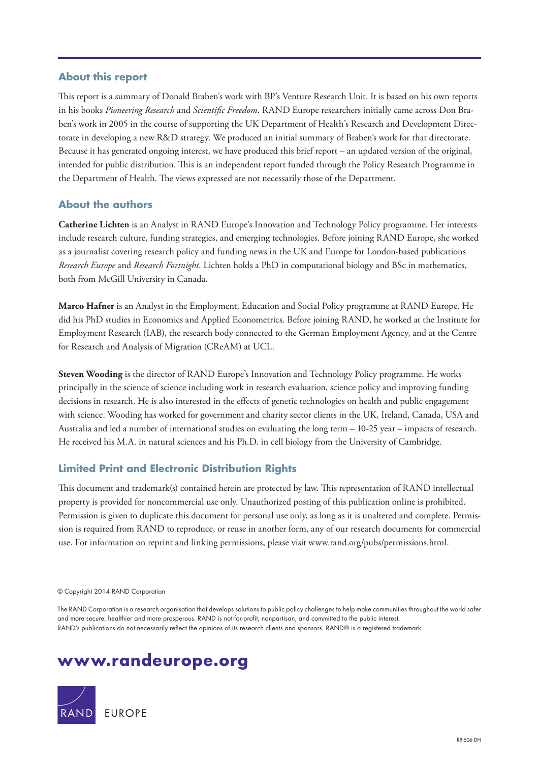#### **About this report**

This report is a summary of Donald Braben's work with BP's Venture Research Unit. It is based on his own reports in his books *Pioneering Research* and *Scientific Freedom*. RAND Europe researchers initially came across Don Braben's work in 2005 in the course of supporting the UK Department of Health's Research and Development Directorate in developing a new R&D strategy. We produced an initial summary of Braben's work for that directorate. Because it has generated ongoing interest, we have produced this brief report – an updated version of the original, intended for public distribution. This is an independent report funded through the Policy Research Programme in the Department of Health. The views expressed are not necessarily those of the Department.

#### **About the authors**

**Catherine Lichten** is an Analyst in RAND Europe's Innovation and Technology Policy programme. Her interests include research culture, funding strategies, and emerging technologies. Before joining RAND Europe, she worked as a journalist covering research policy and funding news in the UK and Europe for London-based publications *Research Europe* and *Research Fortnight*. Lichten holds a PhD in computational biology and BSc in mathematics, both from McGill University in Canada.

**Marco Hafner** is an Analyst in the Employment, Education and Social Policy programme at RAND Europe. He did his PhD studies in Economics and Applied Econometrics. Before joining RAND, he worked at the Institute for Employment Research (IAB), the research body connected to the German Employment Agency, and at the Centre for Research and Analysis of Migration (CReAM) at UCL.

**Steven Wooding** is the director of RAND Europe's Innovation and Technology Policy programme. He works principally in the science of science including work in research evaluation, science policy and improving funding decisions in research. He is also interested in the effects of genetic technologies on health and public engagement with science. Wooding has worked for government and charity sector clients in the UK, Ireland, Canada, USA and Australia and led a number of international studies on evaluating the long term – 10-25 year – impacts of research. He received his M.A. in natural sciences and his Ph.D. in cell biology from the University of Cambridge.

#### **Limited Print and Electronic Distribution Rights**

This document and trademark(s) contained herein are protected by law. This representation of RAND intellectual property is provided for noncommercial use only. Unauthorized posting of this publication online is prohibited. Permission is given to duplicate this document for personal use only, as long as it is unaltered and complete. Permission is required from RAND to reproduce, or reuse in another form, any of our research documents for commercial use. For information on reprint and linking permissions, please visit [www.rand.org/pubs/permissions.html.](http://www.rand.org/pubs/permissions.html)

© Copyright 2014 RAND Corporation

The RAND Corporation is a research organisation that develops solutions to public policy challenges to help make communities throughout the world safer and more secure, healthier and more prosperous. RAND is not-for-profit, nonpartisan, and committed to the public interest. RAND's publications do not necessarily reflect the opinions of its research clients and sponsors. RAND® is a registered trademark.

## **[www.randeurope.org](http://www.randeurope.org)**